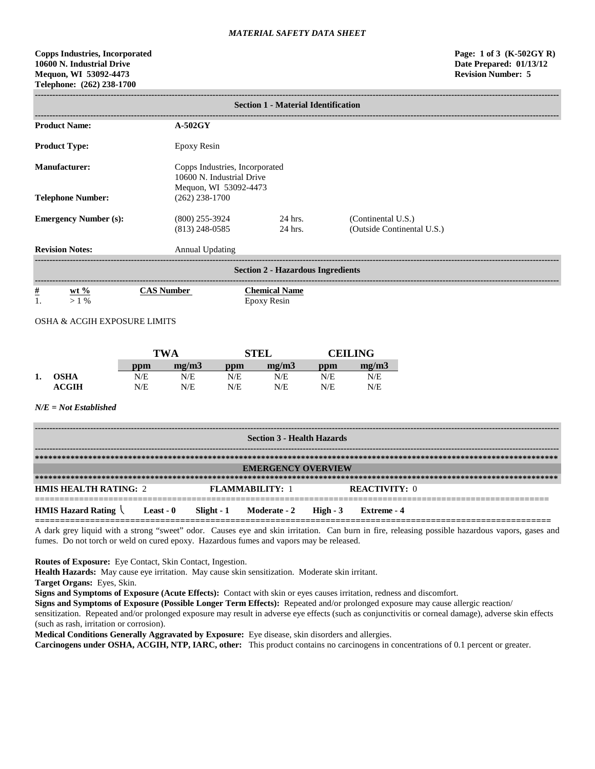# **Copps Industries, Incorporated Page: 1 of 3 (K-502GY R) 10600 N. Industrial Drive Date Prepared: 01/13/12 Mequon, WI 53092-4473 Revision Number: 5 Telephone: (262) 238-1700**

| <b>Section 1 - Material Identification</b> |                                      |                                                             |                                                  |  |  |  |  |
|--------------------------------------------|--------------------------------------|-------------------------------------------------------------|--------------------------------------------------|--|--|--|--|
| <b>Product Name:</b>                       | $A-502GY$                            |                                                             |                                                  |  |  |  |  |
| <b>Product Type:</b>                       | <b>Epoxy Resin</b>                   |                                                             |                                                  |  |  |  |  |
| <b>Manufacturer:</b>                       | Mequon, WI 53092-4473                | Copps Industries, Incorporated<br>10600 N. Industrial Drive |                                                  |  |  |  |  |
| <b>Telephone Number:</b>                   | $(262)$ 238-1700                     |                                                             |                                                  |  |  |  |  |
| <b>Emergency Number (s):</b>               | $(800)$ 255-3924<br>$(813)$ 248-0585 | 24 hrs.<br>24 hrs.                                          | (Continental U.S.)<br>(Outside Continental U.S.) |  |  |  |  |
| <b>Revision Notes:</b>                     | Annual Updating                      |                                                             |                                                  |  |  |  |  |
| <b>Section 2 - Hazardous Ingredients</b>   |                                      |                                                             |                                                  |  |  |  |  |
| $\frac{\#}{1}$<br>wt $%$<br>$>1\%$         | <b>CAS Number</b>                    | <b>Chemical Name</b><br>Epoxy Resin                         |                                                  |  |  |  |  |

OSHA & ACGIH EXPOSURE LIMITS

|    |                  | <b>TWA</b> |       | <b>STEL</b> |       | <b>CEILING</b> |       |
|----|------------------|------------|-------|-------------|-------|----------------|-------|
|    |                  | ppm        | mg/m3 | ppm         | mg/m3 | ppm            | mg/m3 |
| 1. | <b>OSHA</b>      | N/E        | N/E   | N/E         | N/E   | N/E            | N/E   |
|    | $\mathbf{ACGIH}$ | N/E        | N/E   | N/E         | N/E   | N/E            | N/E   |

### *N/E = Not Established*

| <b>Section 3 - Health Hazards</b>                          |  |  |                                  |  |                      |  |  |
|------------------------------------------------------------|--|--|----------------------------------|--|----------------------|--|--|
|                                                            |  |  |                                  |  |                      |  |  |
| <b>EMERGENCY OVERVIEW</b>                                  |  |  |                                  |  |                      |  |  |
|                                                            |  |  |                                  |  |                      |  |  |
| <b>HMIS HEALTH RATING: 2</b>                               |  |  | <b>FLAMMARILITY: 1</b>           |  | <b>REACTIVITY: 0</b> |  |  |
| <b>HMIS Hazard Rating <math>\setminus</math> Least - 0</b> |  |  | Slight - 1 Moderate - 2 High - 3 |  | Extreme - 4          |  |  |

A dark grey liquid with a strong "sweet" odor. Causes eye and skin irritation. Can burn in fire, releasing possible hazardous vapors, gases and fumes. Do not torch or weld on cured epoxy. Hazardous fumes and vapors may be released.

**Routes of Exposure:** Eye Contact, Skin Contact, Ingestion.

**Health Hazards:** May cause eye irritation. May cause skin sensitization. Moderate skin irritant.

**Target Organs:** Eyes, Skin.

**Signs and Symptoms of Exposure (Acute Effects):** Contact with skin or eyes causes irritation, redness and discomfort.

**Signs and Symptoms of Exposure (Possible Longer Term Effects):** Repeated and/or prolonged exposure may cause allergic reaction/

sensitization. Repeated and/or prolonged exposure may result in adverse eye effects (such as conjunctivitis or corneal damage), adverse skin effects (such as rash, irritation or corrosion).

**Medical Conditions Generally Aggravated by Exposure:** Eye disease, skin disorders and allergies.

**Carcinogens under OSHA, ACGIH, NTP, IARC, other:** This product contains no carcinogens in concentrations of 0.1 percent or greater.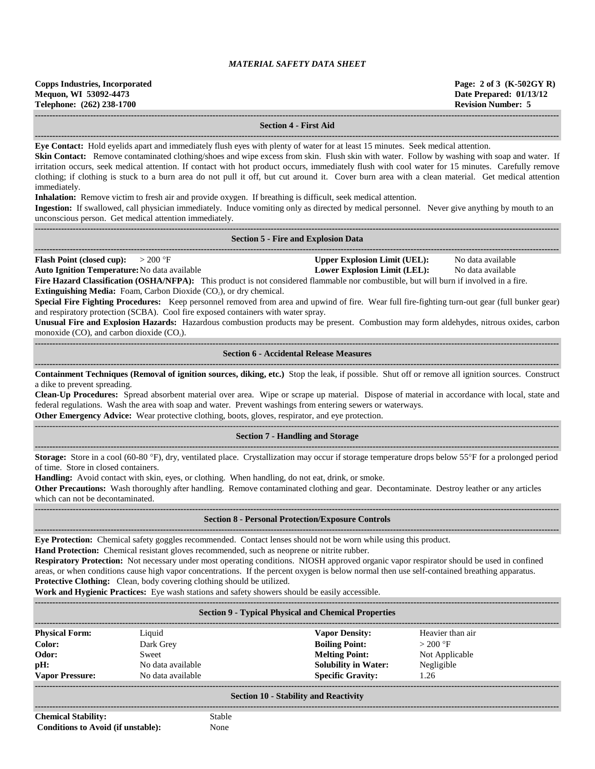| Copps Industries, Incorporated<br>Mequon, WI 53092-4473 | Page: 2 of 3 $(K-502GYR)$<br>Date Prepared: 01/13/12 |
|---------------------------------------------------------|------------------------------------------------------|
| Telephone: (262) 238-1700                               | <b>Revision Number: 5</b>                            |
|                                                         |                                                      |

#### **Section 4 - First Aid**

**------------------------------------------------------------------------------------------------------------------------------------------------------------------------------------ Eye Contact:** Hold eyelids apart and immediately flush eyes with plenty of water for at least 15 minutes. Seek medical attention.

**Skin Contact:** Remove contaminated clothing/shoes and wipe excess from skin. Flush skin with water. Follow by washing with soap and water. If irritation occurs, seek medical attention. If contact with hot product occurs, immediately flush with cool water for 15 minutes. Carefully remove clothing; if clothing is stuck to a burn area do not pull it off, but cut around it. Cover burn area with a clean material. Get medical attention immediately.

**Inhalation:** Remove victim to fresh air and provide oxygen. If breathing is difficult, seek medical attention.

**Ingestion:** If swallowed, call physician immediately. Induce vomiting only as directed by medical personnel. Never give anything by mouth to an unconscious person. Get medical attention immediately.

| <b>Section 5 - Fire and Explosion Data</b> |  |
|--------------------------------------------|--|

**------------------------------------------------------------------------------------------------------------------------------------------------------------------------------------**

**Flash Point (closed cup):**  $> 200 \text{ }^{\circ}\text{F}$  **Upper Explosion Limit (UEL):** No data available **Auto Ignition Temperature:**No data available **Lower Explosion Limit (LEL):** No data available

**Fire Hazard Classification (OSHA/NFPA):** This product is not considered flammable nor combustible, but will burn if involved in a fire. **Extinguishing Media:** Foam, Carbon Dioxide (CO<sub>2</sub>), or dry chemical.

**Special Fire Fighting Procedures:** Keep personnel removed from area and upwind of fire. Wear full fire-fighting turn-out gear (full bunker gear) and respiratory protection (SCBA). Cool fire exposed containers with water spray.

**Unusual Fire and Explosion Hazards:** Hazardous combustion products may be present. Combustion may form aldehydes, nitrous oxides, carbon monoxide  $(CO)$ , and carbon dioxide  $(CO<sub>2</sub>)$ .

## $-1-\frac{1}{2}$ **Section 6 - Accidental Release Measures ------------------------------------------------------------------------------------------------------------------------------------------------------------------------------------**

**Containment Techniques (Removal of ignition sources, diking, etc.)** Stop the leak, if possible. Shut off or remove all ignition sources. Construct a dike to prevent spreading.

**Clean-Up Procedures:** Spread absorbent material over area. Wipe or scrape up material. Dispose of material in accordance with local, state and federal regulations. Wash the area with soap and water. Prevent washings from entering sewers or waterways.

**Other Emergency Advice:** Wear protective clothing, boots, gloves, respirator, and eye protection.

## ------------------------------------------------------------------------------------------------------------------------------------------------------------------------------------ **Section 7 - Handling and Storage ------------------------------------------------------------------------------------------------------------------------------------------------------------------------------------**

**Storage:** Store in a cool (60-80 °F), dry, ventilated place. Crystallization may occur if storage temperature drops below 55°F for a prolonged period of time. Store in closed containers.

**Handling:** Avoid contact with skin, eyes, or clothing. When handling, do not eat, drink, or smoke.

**Other Precautions:** Wash thoroughly after handling. Remove contaminated clothing and gear. Decontaminate. Destroy leather or any articles which can not be decontaminated.

#### **------------------------------------------------------------------------------------------------------------------------------------------------------------------------------------ Section 8 - Personal Protection/Exposure Controls**

**------------------------------------------------------------------------------------------------------------------------------------------------------------------------------------**

**Eye Protection:** Chemical safety goggles recommended. Contact lenses should not be worn while using this product.

**Hand Protection:** Chemical resistant gloves recommended, such as neoprene or nitrite rubber.

**Respiratory Protection:** Not necessary under most operating conditions. NIOSH approved organic vapor respirator should be used in confined areas, or when conditions cause high vapor concentrations. If the percent oxygen is below normal then use self-contained breathing apparatus. **Protective Clothing:** Clean, body covering clothing should be utilized.

**Work and Hygienic Practices:** Eye wash stations and safety showers should be easily accessible.

| <b>Section 9 - Typical Physical and Chemical Properties</b> |                   |                                                                                                                                                                                                                                                    |                  |  |  |  |
|-------------------------------------------------------------|-------------------|----------------------------------------------------------------------------------------------------------------------------------------------------------------------------------------------------------------------------------------------------|------------------|--|--|--|
| <b>Physical Form:</b>                                       | Liquid            | <b>Vapor Density:</b>                                                                                                                                                                                                                              | Heavier than air |  |  |  |
| Color:                                                      | Dark Grey         | <b>Boiling Point:</b>                                                                                                                                                                                                                              | $>200$ °F        |  |  |  |
| Odor:                                                       | Sweet             | <b>Melting Point:</b>                                                                                                                                                                                                                              | Not Applicable   |  |  |  |
| pH:                                                         | No data available | <b>Solubility in Water:</b>                                                                                                                                                                                                                        | Negligible       |  |  |  |
| <b>Vapor Pressure:</b>                                      | No data available | <b>Specific Gravity:</b>                                                                                                                                                                                                                           | 1.26             |  |  |  |
|                                                             |                   |                                                                                                                                                                                                                                                    |                  |  |  |  |
|                                                             |                   | $\mathcal{C}_{\text{sub}}$ $\mathcal{C}_{\text{sub}}$ $\mathcal{C}_{\text{sub}}$ $\mathcal{C}_{\text{sub}}$ $\mathcal{C}_{\text{sub}}$ $\mathcal{C}_{\text{sub}}$ $\mathcal{C}_{\text{sub}}$ $\mathcal{C}_{\text{sub}}$ $\mathcal{C}_{\text{sub}}$ |                  |  |  |  |

#### **Section 10 - Stability and Reactivity ------------------------------------------------------------------------------------------------------------------------------------------------------------------------------------**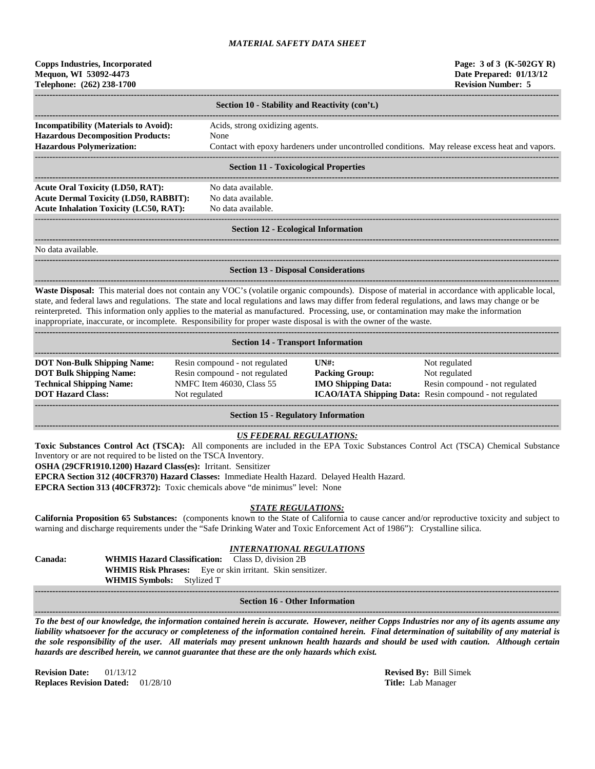# **Copps Industries, Incorporated Page: 3 of 3 (K-502GY R) Mequon, WI 53092-4473 Date Prepared: 01/13/12 Telephone: (262) 238-1700 Revision Number: 5**

|                                                                                          | Section 10 - Stability and Reactivity (con't.)                                                  |  |  |  |  |
|------------------------------------------------------------------------------------------|-------------------------------------------------------------------------------------------------|--|--|--|--|
| <b>Incompatibility (Materials to Avoid):</b><br><b>Hazardous Decomposition Products:</b> | Acids, strong oxidizing agents.<br>None                                                         |  |  |  |  |
| <b>Hazardous Polymerization:</b>                                                         | Contact with epoxy hardeners under uncontrolled conditions. May release excess heat and vapors. |  |  |  |  |
| <b>Section 11 - Toxicological Properties</b>                                             |                                                                                                 |  |  |  |  |

### **Section 11 - Toxicological Properties**

**------------------------------------------------------------------------------------------------------------------------------------------------------------------------------------** Acute Oral Toxicity (LD50, RAT): No data available. **Acute Dermal Toxicity (LD50, RABBIT):** No data available. **Acute Inhalation Toxicity (LC50, RAT):** No data available.

### ------------------------------------------------------------------------------------------------------------------------------------------------------------------------------------ **Section 12 - Ecological Information**

**------------------------------------------------------------------------------------------------------------------------------------------------------------------------------------**

**------------------------------------------------------------------------------------------------------------------------------------------------------------------------------------**

No data available.

#### **------------------------------------------------------------------------------------------------------------------------------------------------------------------------------------ Section 13 - Disposal Considerations**

**------------------------------------------------------------------------------------------------------------------------------------------------------------------------------------** Waste Disposal: This material does not contain any VOC's (volatile organic compounds). Dispose of material in accordance with applicable local, state, and federal laws and regulations. The state and local regulations and laws may differ from federal regulations, and laws may change or be reinterpreted. This information only applies to the material as manufactured. Processing, use, or contamination may make the information inappropriate, inaccurate, or incomplete. Responsibility for proper waste disposal is with the owner of the waste.

| <b>Section 14 - Transport Information</b>                                                                                           |                                                                                                                |                                                                                                      |                                                                                                                             |  |  |  |  |
|-------------------------------------------------------------------------------------------------------------------------------------|----------------------------------------------------------------------------------------------------------------|------------------------------------------------------------------------------------------------------|-----------------------------------------------------------------------------------------------------------------------------|--|--|--|--|
| <b>DOT Non-Bulk Shipping Name:</b><br><b>DOT Bulk Shipping Name:</b><br><b>Technical Shipping Name:</b><br><b>DOT Hazard Class:</b> | Resin compound - not regulated<br>Resin compound - not regulated<br>NMFC Item 46030, Class 55<br>Not regulated | $\overline{I}$ $\overline{N}$ $\overline{H}$ :<br><b>Packing Group:</b><br><b>IMO Shipping Data:</b> | Not regulated<br>Not regulated<br>Resin compound - not regulated<br>ICAO/IATA Shipping Data: Resin compound - not regulated |  |  |  |  |

**Section 15 - Regulatory Information**

## *US FEDERAL REGULATIONS:*

**Toxic Substances Control Act (TSCA):** All components are included in the EPA Toxic Substances Control Act (TSCA) Chemical Substance Inventory or are not required to be listed on the TSCA Inventory.

**OSHA (29CFR1910.1200) Hazard Class(es):** Irritant. Sensitizer

**EPCRA Section 312 (40CFR370) Hazard Classes:** Immediate Health Hazard. Delayed Health Hazard.

**EPCRA Section 313 (40CFR372):** Toxic chemicals above "de minimus" level: None

## *STATE REGULATIONS:*

**California Proposition 65 Substances:** (components known to the State of California to cause cancer and/or reproductive toxicity and subject to warning and discharge requirements under the "Safe Drinking Water and Toxic Enforcement Act of 1986"): Crystalline silica.

# *INTERNATIONAL REGULATIONS*

**Canada: WHMIS Hazard Classification:** Class D, division 2B **WHMIS Risk Phrases:** Eye or skin irritant. Skin sensitizer. **WHMIS Symbols:** Stylized T

#### **------------------------------------------------------------------------------------------------------------------------------------------------------------------------------------ Section 16 - Other Information**

**------------------------------------------------------------------------------------------------------------------------------------------------------------------------------------** *To the best of our knowledge, the information contained herein is accurate. However, neither Copps Industries nor any of its agents assume any liability whatsoever for the accuracy or completeness of the information contained herein. Final determination of suitability of any material is the sole responsibility of the user. All materials may present unknown health hazards and should be used with caution. Although certain hazards are described herein, we cannot guarantee that these are the only hazards which exist.*

**Revision Date:** 01/13/12 **Revised By:** Bill Simek **Replaces Revision Dated:** 01/28/10 **Title:** Lab Manager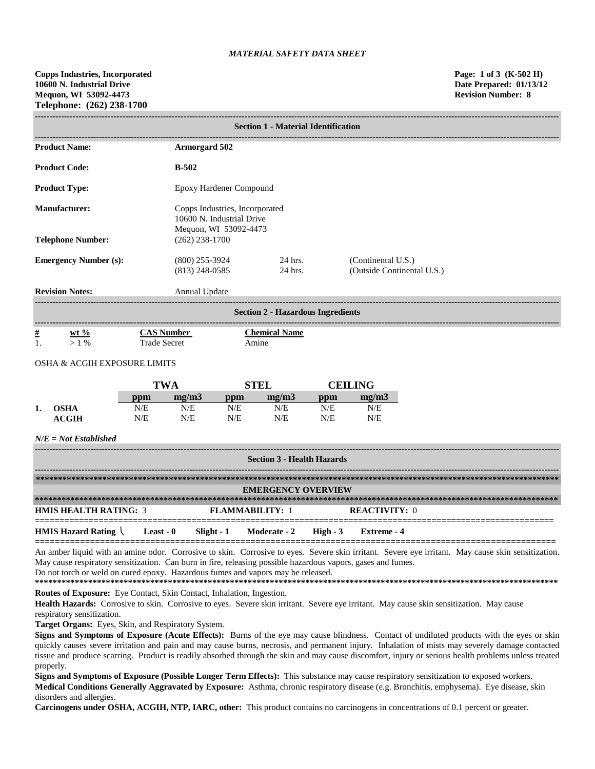|                                   | <b>Section 1 - Material Identification</b>                                     |                                          |                                           |                                                             |                                          |            |                                                  |  |  |
|-----------------------------------|--------------------------------------------------------------------------------|------------------------------------------|-------------------------------------------|-------------------------------------------------------------|------------------------------------------|------------|--------------------------------------------------|--|--|
|                                   | <b>Product Name:</b>                                                           |                                          | <b>Armorgard 502</b>                      |                                                             |                                          |            |                                                  |  |  |
|                                   | <b>Product Code:</b>                                                           |                                          | <b>B-502</b>                              |                                                             |                                          |            |                                                  |  |  |
|                                   | <b>Product Type:</b>                                                           |                                          | Epoxy Hardener Compound                   |                                                             |                                          |            |                                                  |  |  |
|                                   | <b>Manufacturer:</b>                                                           |                                          |                                           | Copps Industries, Incorporated<br>10600 N. Industrial Drive |                                          |            |                                                  |  |  |
|                                   | <b>Telephone Number:</b>                                                       |                                          | Mequon, WI 53092-4473<br>$(262)$ 238-1700 |                                                             |                                          |            |                                                  |  |  |
|                                   | <b>Emergency Number (s):</b>                                                   |                                          | $(800)$ 255-3924<br>$(813)$ 248-0585      |                                                             | 24 hrs.<br>24 hrs.                       |            | (Continental U.S.)<br>(Outside Continental U.S.) |  |  |
|                                   | <b>Revision Notes:</b>                                                         |                                          | Annual Update                             |                                                             |                                          |            |                                                  |  |  |
|                                   |                                                                                |                                          |                                           |                                                             | <b>Section 2 - Hazardous Ingredients</b> |            |                                                  |  |  |
| $\frac{\#}{1}$                    | $ext{w}t\%$<br>$>1\%$                                                          | <b>CAS Number</b><br><b>Trade Secret</b> |                                           |                                                             | <b>Chemical Name</b><br>Amine            |            |                                                  |  |  |
|                                   | <b>OSHA &amp; ACGIH EXPOSURE LIMITS</b>                                        |                                          |                                           |                                                             |                                          |            |                                                  |  |  |
|                                   |                                                                                | <b>TWA</b>                               |                                           |                                                             | <b>STEL</b>                              |            | <b>CEILING</b>                                   |  |  |
|                                   |                                                                                | ppm                                      | mg/m3                                     | ppm                                                         | mg/m3                                    | ppm        | mg/m3                                            |  |  |
| 1.                                | <b>OSHA</b><br><b>ACGIH</b>                                                    | N/E<br>N/E                               | N/E<br>N/E                                | N/E<br>N/E                                                  | N/E<br>N/E                               | N/E<br>N/E | N/E<br>N/E                                       |  |  |
|                                   | $N/E = Not$ Established                                                        |                                          |                                           |                                                             |                                          |            |                                                  |  |  |
| <b>Section 3 - Health Hazards</b> |                                                                                |                                          |                                           |                                                             |                                          |            |                                                  |  |  |
| <b>EMERGENCY OVERVIEW</b>         |                                                                                |                                          |                                           |                                                             |                                          |            |                                                  |  |  |
|                                   |                                                                                |                                          |                                           |                                                             |                                          |            |                                                  |  |  |
|                                   | <b>HMIS HEALTH RATING: 3</b><br><b>FLAMMABILITY: 1</b><br><b>REACTIVITY: 0</b> |                                          |                                           |                                                             |                                          |            |                                                  |  |  |
|                                   | HMIS Hazard Rating                                                             | Least - $0$                              | Slight - 1                                |                                                             | Moderate - 2                             | High $-3$  | <b>Extreme - 4</b>                               |  |  |

An amber liquid with an amine odor. Corrosive to skin. Corrosive to eyes. Severe skin irritant. Severe eye irritant. May cause skin sensitization. May cause respiratory sensitization. Can burn in fire, releasing possible hazardous vapors, gases and fumes. Do not torch or weld on cured epoxy. Hazardous fumes and vapors may be released.

**\*\*\*\*\*\*\*\*\*\*\*\*\*\*\*\*\*\*\*\*\*\*\*\*\*\*\*\*\*\*\*\*\*\*\*\*\*\*\*\*\*\*\*\*\*\*\*\*\*\*\*\*\*\*\*\*\*\*\*\*\*\*\*\*\*\*\*\*\*\*\*\*\*\*\*\*\*\*\*\*\*\*\*\*\*\*\*\*\*\*\*\*\*\*\*\*\*\*\*\*\*\*\*\*\*\*\*\*\*\*\*\*\*\*\*\*\*\* Routes of Exposure:** Eye Contact, Skin Contact, Inhalation, Ingestion.

Health Hazards: Corrosive to skin. Corrosive to eyes. Severe skin irritant. Severe eye irritant. May cause skin sensitization. May cause respiratory sensitization.

**Target Organs:** Eyes, Skin, and Respiratory System.

**Signs and Symptoms of Exposure (Acute Effects):** Burns of the eye may cause blindness. Contact of undiluted products with the eyes or skin quickly causes severe irritation and pain and may cause burns, necrosis, and permanent injury. Inhalation of mists may severely damage contacted tissue and produce scarring. Product is readily absorbed through the skin and may cause discomfort, injury or serious health problems unless treated properly.

**Signs and Symptoms of Exposure (Possible Longer Term Effects):** This substance may cause respiratory sensitization to exposed workers. **Medical Conditions Generally Aggravated by Exposure:** Asthma, chronic respiratory disease (e.g. Bronchitis, emphysema). Eye disease, skin disorders and allergies.

**Carcinogens under OSHA, ACGIH, NTP, IARC, other:** This product contains no carcinogens in concentrations of 0.1 percent or greater.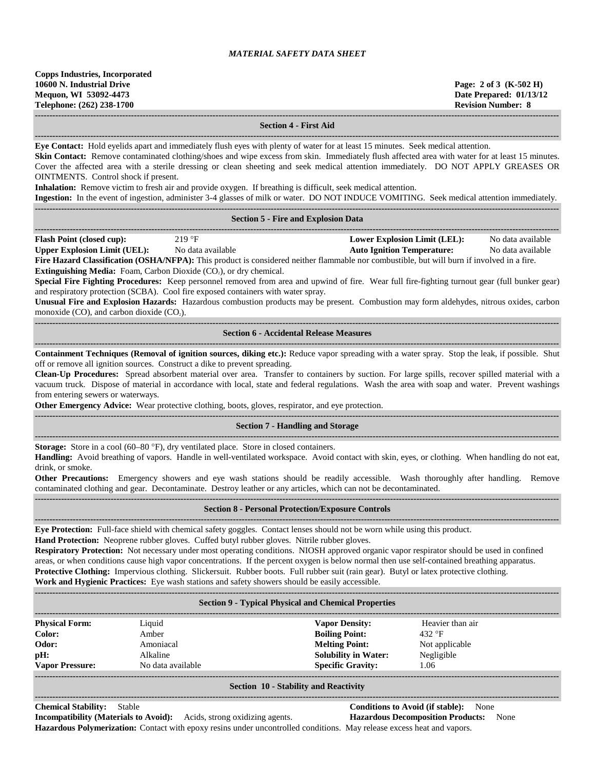| <b>Copps Industries, Incorporated</b> |  |  |  |  |  |
|---------------------------------------|--|--|--|--|--|
| 10600 N. Industrial Drive             |  |  |  |  |  |
| Mequon, WI 53092-4473                 |  |  |  |  |  |
| Telephone: (262) 238-1700             |  |  |  |  |  |
|                                       |  |  |  |  |  |

**10600 N. Industrial Drive Page: 2 of 3 (K-502 H) Date Prepared: 01/13/12 Revision Number: 8** 

**------------------------------------------------------------------------------------------------------------------------------------------------------------------------------------**

### **Section 4 - First Aid**

**------------------------------------------------------------------------------------------------------------------------------------------------------------------------------------ Eye Contact:** Hold eyelids apart and immediately flush eyes with plenty of water for at least 15 minutes. Seek medical attention.

**Skin Contact:** Remove contaminated clothing/shoes and wipe excess from skin. Immediately flush affected area with water for at least 15 minutes. Cover the affected area with a sterile dressing or clean sheeting and seek medical attention immediately. DO NOT APPLY GREASES OR OINTMENTS. Control shock if present.

**Inhalation:** Remove victim to fresh air and provide oxygen. If breathing is difficult, seek medical attention.

**Ingestion:** In the event of ingestion, administer 3-4 glasses of milk or water. DO NOT INDUCE VOMITING. Seek medical attention immediately.

|                                                                                                                                                                                                                                                                                                                                                                                                                                                                                                                                                                                                                                                                                                                                                                                                                                                                                                         | <b>Section 5 - Fire and Explosion Data</b>               |  |  |  |  |  |  |
|---------------------------------------------------------------------------------------------------------------------------------------------------------------------------------------------------------------------------------------------------------------------------------------------------------------------------------------------------------------------------------------------------------------------------------------------------------------------------------------------------------------------------------------------------------------------------------------------------------------------------------------------------------------------------------------------------------------------------------------------------------------------------------------------------------------------------------------------------------------------------------------------------------|----------------------------------------------------------|--|--|--|--|--|--|
| <b>Lower Explosion Limit (LEL):</b><br><b>Flash Point (closed cup):</b><br>219 °F<br>No data available<br><b>Upper Explosion Limit (UEL):</b><br><b>Auto Ignition Temperature:</b><br>No data available<br>No data available<br>Fire Hazard Classification (OSHA/NFPA): This product is considered neither flammable nor combustible, but will burn if involved in a fire.<br><b>Extinguishing Media:</b> Foam, Carbon Dioxide (CO <sub>2</sub> ), or dry chemical.<br>Special Fire Fighting Procedures: Keep personnel removed from area and upwind of fire. Wear full fire-fighting turnout gear (full bunker gear)<br>and respiratory protection (SCBA). Cool fire exposed containers with water spray.<br>Unusual Fire and Explosion Hazards: Hazardous combustion products may be present. Combustion may form aldehydes, nitrous oxides, carbon<br>monoxide $(CO)$ , and carbon dioxide $(CO2)$ . |                                                          |  |  |  |  |  |  |
|                                                                                                                                                                                                                                                                                                                                                                                                                                                                                                                                                                                                                                                                                                                                                                                                                                                                                                         | <b>Section 6 - Accidental Release Measures</b>           |  |  |  |  |  |  |
| Containment Techniques (Removal of ignition sources, diking etc.): Reduce vapor spreading with a water spray. Stop the leak, if possible. Shut<br>off or remove all ignition sources. Construct a dike to prevent spreading.<br>Clean-Up Procedures: Spread absorbent material over area. Transfer to containers by suction. For large spills, recover spilled material with a<br>vacuum truck. Dispose of material in accordance with local, state and federal regulations. Wash the area with soap and water. Prevent washings<br>from entering sewers or waterways.<br>Other Emergency Advice: Wear protective clothing, boots, gloves, respirator, and eye protection.                                                                                                                                                                                                                              |                                                          |  |  |  |  |  |  |
|                                                                                                                                                                                                                                                                                                                                                                                                                                                                                                                                                                                                                                                                                                                                                                                                                                                                                                         | <b>Section 7 - Handling and Storage</b>                  |  |  |  |  |  |  |
| Storage: Store in a cool (60–80 °F), dry ventilated place. Store in closed containers.<br>Handling: Avoid breathing of vapors. Handle in well-ventilated workspace. Avoid contact with skin, eyes, or clothing. When handling do not eat,<br>drink, or smoke.<br><b>Other Precautions:</b> Emergency showers and eye wash stations should be readily accessible. Wash thoroughly after handling. Remove<br>contaminated clothing and gear. Decontaminate. Destroy leather or any articles, which can not be decontaminated.                                                                                                                                                                                                                                                                                                                                                                             |                                                          |  |  |  |  |  |  |
|                                                                                                                                                                                                                                                                                                                                                                                                                                                                                                                                                                                                                                                                                                                                                                                                                                                                                                         | <b>Section 8 - Personal Protection/Exposure Controls</b> |  |  |  |  |  |  |
| Eye Protection: Full-face shield with chemical safety goggles. Contact lenses should not be worn while using this product.<br>Hand Protection: Neoprene rubber gloves. Cuffed butyl rubber gloves. Nitrile rubber gloves.<br>Respiratory Protection: Not necessary under most operating conditions. NIOSH approved organic vapor respirator should be used in confined<br>areas, or when conditions cause high vapor concentrations. If the percent oxygen is below normal then use self-contained breathing apparatus.<br>Protective Clothing: Impervious clothing. Slickersuit. Rubber boots. Full rubber suit (rain gear). Butyl or latex protective clothing.                                                                                                                                                                                                                                       |                                                          |  |  |  |  |  |  |

**Work and Hygienic Practices:** Eye wash stations and safety showers should be easily accessible.

| <b>Section 9 - Typical Physical and Chemical Properties</b>                                                                    |                   |                             |                  |  |  |  |
|--------------------------------------------------------------------------------------------------------------------------------|-------------------|-----------------------------|------------------|--|--|--|
| <b>Physical Form:</b>                                                                                                          | Liquid            | <b>Vapor Density:</b>       | Heavier than air |  |  |  |
| Color:                                                                                                                         | Amber             | <b>Boiling Point:</b>       | 432 $\degree$ F  |  |  |  |
| Odor:                                                                                                                          | Amoniacal         | <b>Melting Point:</b>       | Not applicable   |  |  |  |
| pH:                                                                                                                            | Alkaline          | <b>Solubility in Water:</b> | Negligible       |  |  |  |
| <b>Vapor Pressure:</b>                                                                                                         | No data available | <b>Specific Gravity:</b>    | 1.06             |  |  |  |
| $C_{1}$ $A_{2}$ $A_{3}$ $A_{4}$ $A_{5}$ $A_{6}$ $A_{7}$ $A_{8}$ $A_{10}$ $A_{11}$ $A_{12}$ $A_{13}$ $A_{14}$ $A_{15}$ $A_{16}$ |                   |                             |                  |  |  |  |

#### **Section 10 - Stability and Reactivity**

**------------------------------------------------------------------------------------------------------------------------------------------------------------------------------------ Conditions to Avoid (if stable):** None **Incompatibility (Materials to Avoid):** Acids, strong oxidizing agents. **Hazardous Decomposition Products:** None **Hazardous Polymerization:** Contact with epoxy resins under uncontrolled conditions. May release excess heat and vapors.